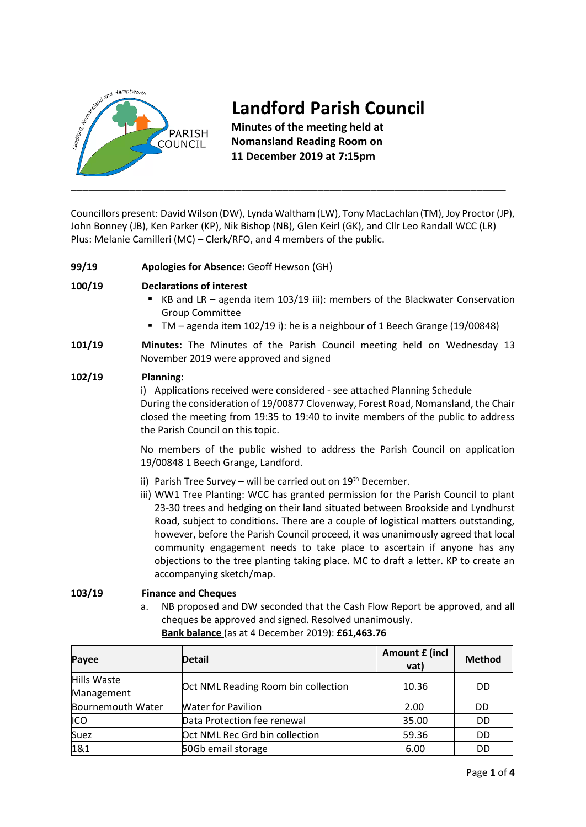

# **Landford Parish Council**

**Minutes of the meeting held at Nomansland Reading Room on 11 December 2019 at 7:15pm**

Councillors present: David Wilson (DW), Lynda Waltham (LW), Tony MacLachlan (TM), Joy Proctor (JP), John Bonney (JB), Ken Parker (KP), Nik Bishop (NB), Glen Keirl (GK), and Cllr Leo Randall WCC (LR) Plus: Melanie Camilleri (MC) – Clerk/RFO, and 4 members of the public.

**99/19 Apologies for Absence:** Geoff Hewson (GH)

# **100/19 Declarations of interest**

- KB and LR agenda item 103/19 iii): members of the Blackwater Conservation Group Committee
- TM agenda item 102/19 i): he is a neighbour of 1 Beech Grange (19/00848)
- **101/19 Minutes:** The Minutes of the Parish Council meeting held on Wednesday 13 November 2019 were approved and signed

### **102/19 Planning:**

i) Applications received were considered - see attached Planning Schedule During the consideration of 19/00877 Clovenway, Forest Road, Nomansland, the Chair closed the meeting from 19:35 to 19:40 to invite members of the public to address the Parish Council on this topic.

No members of the public wished to address the Parish Council on application 19/00848 1 Beech Grange, Landford.

- ii) Parish Tree Survey will be carried out on  $19<sup>th</sup>$  December.
- iii) WW1 Tree Planting: WCC has granted permission for the Parish Council to plant 23-30 trees and hedging on their land situated between Brookside and Lyndhurst Road, subject to conditions. There are a couple of logistical matters outstanding, however, before the Parish Council proceed, it was unanimously agreed that local community engagement needs to take place to ascertain if anyone has any objections to the tree planting taking place. MC to draft a letter. KP to create an accompanying sketch/map.

# **103/19 Finance and Cheques**

a. NB proposed and DW seconded that the Cash Flow Report be approved, and all cheques be approved and signed. Resolved unanimously. **Bank balance** (as at 4 December 2019): **£61,463.76**

| Payee             | <b>Detail</b>                       | Amount £ (incl<br>vat) | <b>Method</b> |
|-------------------|-------------------------------------|------------------------|---------------|
| Hills Waste       | Oct NML Reading Room bin collection | 10.36                  | DD            |
| Management        |                                     |                        |               |
| Bournemouth Water | <b>Water for Pavilion</b>           | 2.00                   | DD            |
| ICO               | Data Protection fee renewal         | 35.00                  | DD            |
| Suez              | Oct NML Rec Grd bin collection      | 59.36                  | <b>DD</b>     |
| 1&1               | 50Gb email storage                  | 6.00                   | DD            |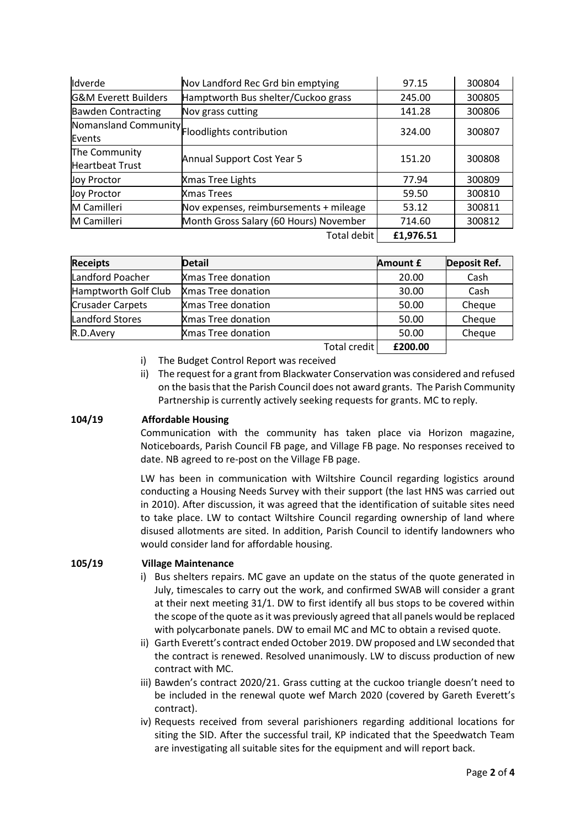| Idverde                                 | Nov Landford Rec Grd bin emptying             | 97.15     | 300804 |
|-----------------------------------------|-----------------------------------------------|-----------|--------|
| <b>G&amp;M Everett Builders</b>         | Hamptworth Bus shelter/Cuckoo grass           | 245.00    | 300805 |
| <b>Bawden Contracting</b>               | Nov grass cutting                             | 141.28    | 300806 |
| Events                                  | Nomansland Community Floodlights contribution | 324.00    | 300807 |
| The Community<br><b>Heartbeat Trust</b> | Annual Support Cost Year 5                    | 151.20    | 300808 |
| <b>Joy Proctor</b>                      | Xmas Tree Lights                              | 77.94     | 300809 |
| <b>Joy Proctor</b>                      | Xmas Trees                                    | 59.50     | 300810 |
| M Camilleri                             | Nov expenses, reimbursements + mileage        | 53.12     | 300811 |
| M Camilleri                             | Month Gross Salary (60 Hours) November        | 714.60    | 300812 |
|                                         | Total debit                                   | £1,976.51 |        |

| <b>Receipts</b>      | <b>Detail</b>             | <b>Amount £</b> | Deposit Ref. |
|----------------------|---------------------------|-----------------|--------------|
| Landford Poacher     | <b>Xmas Tree donation</b> | 20.00           | Cash         |
| Hamptworth Golf Club | <b>Xmas Tree donation</b> | 30.00           | Cash         |
| Crusader Carpets     | <b>Xmas Tree donation</b> | 50.00           | Cheque       |
| Landford Stores      | <b>Xmas Tree donation</b> | 50.00           | Cheque       |
| R.D.Avery            | <b>Xmas Tree donation</b> | 50.00           | Cheque       |
|                      | Total credit              | £200.00         |              |

- i) The Budget Control Report was received
- ii) The request for a grant from Blackwater Conservation was considered and refused on the basis that the Parish Council does not award grants. The Parish Community Partnership is currently actively seeking requests for grants. MC to reply.

# **104/19 Affordable Housing**

Communication with the community has taken place via Horizon magazine, Noticeboards, Parish Council FB page, and Village FB page. No responses received to date. NB agreed to re-post on the Village FB page.

LW has been in communication with Wiltshire Council regarding logistics around conducting a Housing Needs Survey with their support (the last HNS was carried out in 2010). After discussion, it was agreed that the identification of suitable sites need to take place. LW to contact Wiltshire Council regarding ownership of land where disused allotments are sited. In addition, Parish Council to identify landowners who would consider land for affordable housing.

# **105/19 Village Maintenance**

- i) Bus shelters repairs. MC gave an update on the status of the quote generated in July, timescales to carry out the work, and confirmed SWAB will consider a grant at their next meeting 31/1. DW to first identify all bus stops to be covered within the scope of the quote as it was previously agreed that all panels would be replaced with polycarbonate panels. DW to email MC and MC to obtain a revised quote.
- ii) Garth Everett's contract ended October 2019. DW proposed and LW seconded that the contract is renewed. Resolved unanimously. LW to discuss production of new contract with MC.
- iii) Bawden's contract 2020/21. Grass cutting at the cuckoo triangle doesn't need to be included in the renewal quote wef March 2020 (covered by Gareth Everett's contract).
- iv) Requests received from several parishioners regarding additional locations for siting the SID. After the successful trail, KP indicated that the Speedwatch Team are investigating all suitable sites for the equipment and will report back.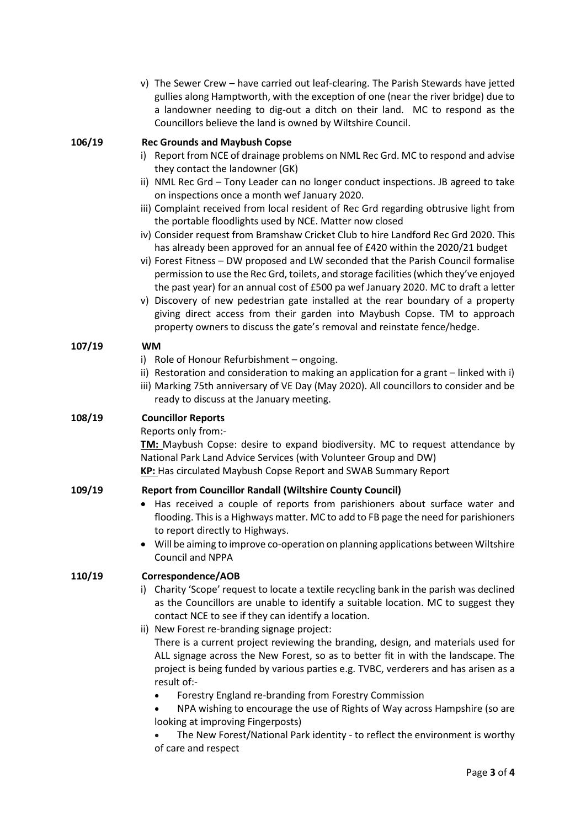| v) The Sewer Crew – have carried out leaf-clearing. The Parish Stewards have jetted |
|-------------------------------------------------------------------------------------|
| gullies along Hamptworth, with the exception of one (near the river bridge) due to  |
| a landowner needing to dig-out a ditch on their land. MC to respond as the          |
| Councillors believe the land is owned by Wiltshire Council.                         |

#### **106/19 Rec Grounds and Maybush Copse**

- i) Report from NCE of drainage problems on NML Rec Grd. MC to respond and advise they contact the landowner (GK)
- ii) NML Rec Grd Tony Leader can no longer conduct inspections. JB agreed to take on inspections once a month wef January 2020.
- iii) Complaint received from local resident of Rec Grd regarding obtrusive light from the portable floodlights used by NCE. Matter now closed
- iv) Consider request from Bramshaw Cricket Club to hire Landford Rec Grd 2020. This has already been approved for an annual fee of £420 within the 2020/21 budget
- vi) Forest Fitness DW proposed and LW seconded that the Parish Council formalise permission to use the Rec Grd, toilets, and storage facilities (which they've enjoyed the past year) for an annual cost of £500 pa wef January 2020. MC to draft a letter
- v) Discovery of new pedestrian gate installed at the rear boundary of a property giving direct access from their garden into Maybush Copse. TM to approach property owners to discuss the gate's removal and reinstate fence/hedge.

#### **107/19 WM**

- i) Role of Honour Refurbishment ongoing.
- ii) Restoration and consideration to making an application for a grant linked with i)
- iii) Marking 75th anniversary of VE Day (May 2020). All councillors to consider and be ready to discuss at the January meeting.

#### **108/19 Councillor Reports**

Reports only from:-

**TM:** Maybush Copse: desire to expand biodiversity. MC to request attendance by National Park Land Advice Services (with Volunteer Group and DW) **KP:** Has circulated Maybush Copse Report and SWAB Summary Report

#### **109/19 Report from Councillor Randall (Wiltshire County Council)**

- Has received a couple of reports from parishioners about surface water and flooding. This is a Highways matter. MC to add to FB page the need for parishioners to report directly to Highways.
- Will be aiming to improve co-operation on planning applications between Wiltshire Council and NPPA

#### **110/19 Correspondence/AOB**

- i) Charity 'Scope' request to locate a textile recycling bank in the parish was declined as the Councillors are unable to identify a suitable location. MC to suggest they contact NCE to see if they can identify a location.
- ii) New Forest re-branding signage project: There is a current project reviewing the branding, design, and materials used for ALL signage across the New Forest, so as to better fit in with the landscape. The project is being funded by various parties e.g. TVBC, verderers and has arisen as a result of:-
	- Forestry England re-branding from Forestry Commission
	- NPA wishing to encourage the use of Rights of Way across Hampshire (so are looking at improving Fingerposts)
	- The New Forest/National Park identity to reflect the environment is worthy of care and respect